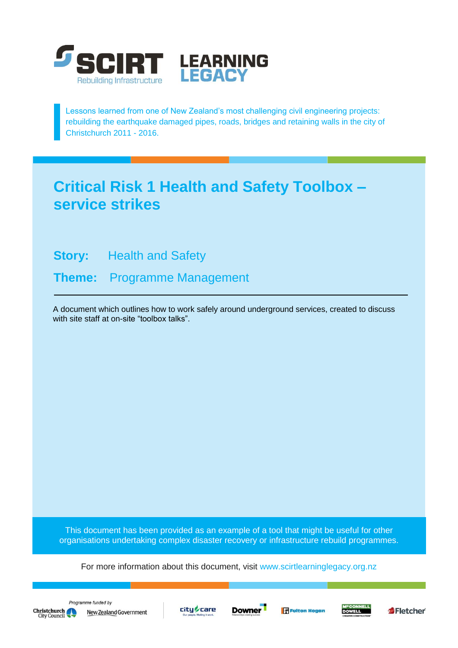

Lessons learned from one of New Zealand's most challenging civil engineering projects: rebuilding the earthquake damaged pipes, roads, bridges and retaining walls in the city of Christchurch 2011 - 2016.

## **Critical Risk 1 Health and Safety Toolbox – service strikes**

**Story:** Health and Safety

**Theme:** Programme Management

A document which outlines how to work safely around underground services, created to discuss with site staff at on-site "toolbox talks".

This document has been provided as an example of a tool that might be useful for other organisations undertaking complex disaster recovery or infrastructure rebuild programmes.

For more information about this document, visit [www.scirtlearninglegacy.org.nz](http://www.scirtlearninglegacy.org.nz/)









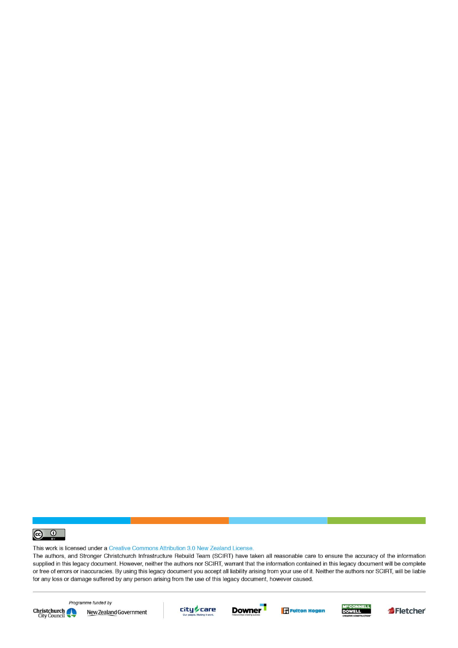

This work is licensed under a Creative Commons Attribution 3.0 New Zealand License.

The authors, and Stronger Christchurch Infrastructure Rebuild Team (SCIRT) have taken all reasonable care to ensure the accuracy of the information supplied in this legacy document. However, neither the authors nor SCIRT, warrant that the information contained in this legacy document will be complete or free of errors or inaccuracies. By using this legacy document you accept all liability arising from your use of it. Neither the authors nor SCIRT, will be liable for any loss or damage suffered by any person arising from the use of this legacy document, however caused.



Programme funded by New Zealand Government